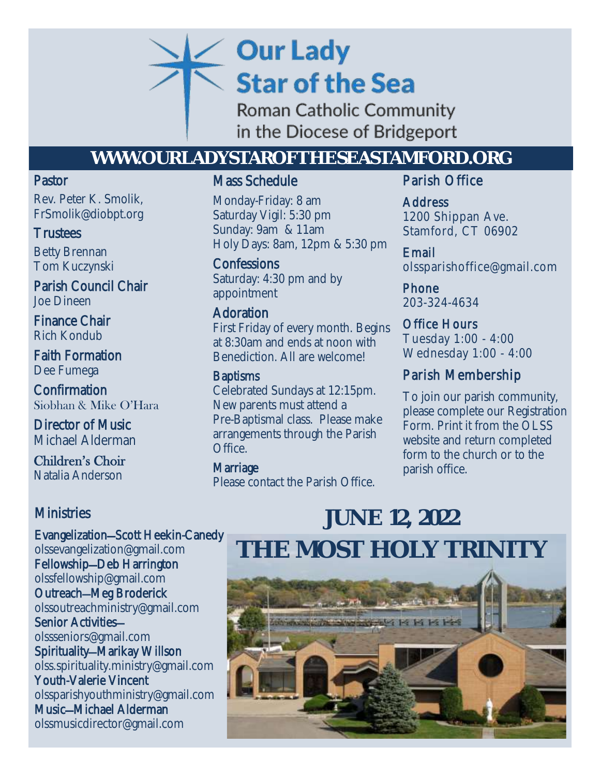# **Our Lady Star of the Sea**

Roman Catholic Community in the Diocese of Bridgeport

## **WWW.OURLADYSTAROFTHESEASTAMFORD.ORG**

## Pastor

Rev. Peter K. Smolik, FrSmolik@diobpt.org

## **Trustees**

Betty Brennan Tom Kuczynski

Parish Council Chair Joe Dineen

Finance Chair Rich Kondub

Faith Formation Dee Fumega

Confirmation Siobhan & Mike O'Hara

Director of Music Michael Alderman

Children's Choir Natalia Anderson

## **Ministries**

Evangelization—Scott Heekin-Canedy [olssevangelization@gmail.com](mailto:olssevangelization@gmail.com) Fellowship—Deb Harrington [olssfellowship@gmail.com](mailto:olssfellowship@gmail.com) Outreach—Meg Broderick [olssoutreachministry@gmail.com](mailto:olssoutreachministry@gmail.com) Senior Activities [olssseniors@gmail.com](mailto:olssseniors@gmail.com) Spirituality—Marikay Willson ols[s.spirituality.ministry@gmail.com](mailto:OLSS.Spirituality.Ministry@gmail.com) Youth-Valerie Vincent [olssparishyouthministry@gmail.com](mailto:olssparishyouthministry@gmail.com) Music—Michael Alderman olssmusicdirector@gmail.com

## Mass Schedule

**Datarday Vigit: 5.50 pm**<br> **Sunday: 9am & 11am**<br> **COLLEGE 2020** Monday-Friday: 8 am Saturday Vigil: 5:30 pm Holy Days: 8am, 12pm & 5:30 pm

> **Confessions** Saturday: 4:30 pm and by appointment

## Adoration

First Friday of every month. Begins at 8:30am and ends at noon with Benediction. All are welcome!

## **Baptisms**

Celebrated Sundays at 12:15pm. New parents must attend a Pre-Baptismal class. Please make arrangements through the Parish Office.

Marriage Please contact the Parish Office.

## Parish Office

Address 1200 Shippan Ave. Stamford, CT 06902

Email olssparishoffice@gmail.com

Phone 203-324-4634

Office Hours Tuesday 1:00 - 4:00 Wednesday 1:00 - 4:00

## Parish Membership

To join our parish community, please complete our Registration Form. Print it from the OLSS website and return completed form to the church or to the parish office.

## **JUNE 12, 2022 THE MOST HOLY TRINITY**

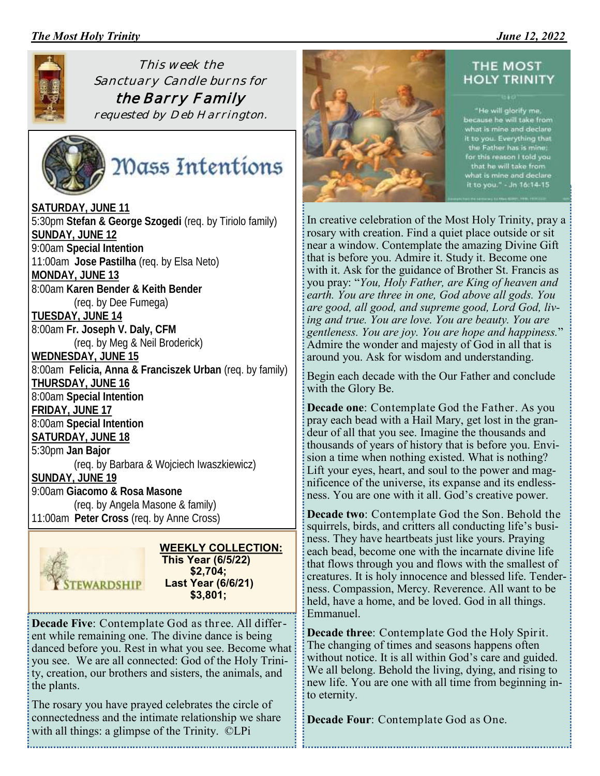### *The Most Holy Trinity \_\_\_\_\_\_\_\_\_\_\_\_\_\_\_\_\_\_\_\_\_\_\_\_ June 12, 2022*



*This week the Sanctuary Candle burns for the Barry Family requested by Deb Harrington.*



Mass Intentions

**SATURDAY, JUNE 11** 5:30pm **Stefan & George Szogedi** (req. by Tiriolo family) **SUNDAY, JUNE 12** 9:00am **Special Intention** 11:00am **Jose Pastilha** (req. by Elsa Neto) **MONDAY, JUNE 13** 8:00am **Karen Bender & Keith Bender** (req. by Dee Fumega) **TUESDAY, JUNE 14** 8:00am **Fr. Joseph V. Daly, CFM** (req. by Meg & Neil Broderick) **WEDNESDAY, JUNE 15** 8:00am **Felicia, Anna & Franciszek Urban** (req. by family) **THURSDAY, JUNE 16** 8:00am **Special Intention FRIDAY, JUNE 17** 8:00am **Special Intention SATURDAY, JUNE 18** 5:30pm **Jan Bajor** (req. by Barbara & Wojciech Iwaszkiewicz) **SUNDAY, JUNE 19** 9:00am **Giacomo & Rosa Masone** (req. by Angela Masone & family) 11:00am **Peter Cross** (req. by Anne Cross)



 **WEEKLY COLLECTION: This Year (6/5/22) \$2,704; Last Year (6/6/21) \$3,801;**

**Decade Five**: Contemplate God as three. All different while remaining one. The divine dance is being danced before you. Rest in what you see. Become what you see. We are all connected: God of the Holy Trinity, creation, our brothers and sisters, the animals, and the plants.

The rosary you have prayed celebrates the circle of connectedness and the intimate relationship we share with all things: a glimpse of the Trinity. ©LPi



#### THE MOST **HOLY TRINITY**

"He will glorify me,<br>because he will take from<br>what is mine and declare<br>it to you. Everything that<br>the Father has is mine; for this reason I told you<br>that he will take from<br>what is mine and declare<br>it to you." - Jn 16:14-15

In creative celebration of the Most Holy Trinity, pray a rosary with creation. Find a quiet place outside or sit near a window. Contemplate the amazing Divine Gift that is before you. Admire it. Study it. Become one with it. Ask for the guidance of Brother St. Francis as you pray: "*You, Holy Father, are King of heaven and earth. You are three in one, God above all gods. You are good, all good, and supreme good, Lord God, living and true. You are love. You are beauty. You are gentleness. You are joy. You are hope and happiness.*" Admire the wonder and majesty of God in all that is around you. Ask for wisdom and understanding.

Begin each decade with the Our Father and conclude with the Glory Be.

**Decade one**: Contemplate God the Father. As you pray each bead with a Hail Mary, get lost in the grandeur of all that you see. Imagine the thousands and thousands of years of history that is before you. Envision a time when nothing existed. What is nothing? Lift your eyes, heart, and soul to the power and magnificence of the universe, its expanse and its endlessness. You are one with it all. God's creative power.

**Decade two**: Contemplate God the Son. Behold the squirrels, birds, and critters all conducting life's business. They have heartbeats just like yours. Praying each bead, become one with the incarnate divine life that flows through you and flows with the smallest of creatures. It is holy innocence and blessed life. Tenderness. Compassion, Mercy. Reverence. All want to be held, have a home, and be loved. God in all things. Emmanuel.

**Decade three**: Contemplate God the Holy Spirit. The changing of times and seasons happens often without notice. It is all within God's care and guided. We all belong. Behold the living, dying, and rising to new life. You are one with all time from beginning into eternity.

**Decade Four**: Contemplate God as One.